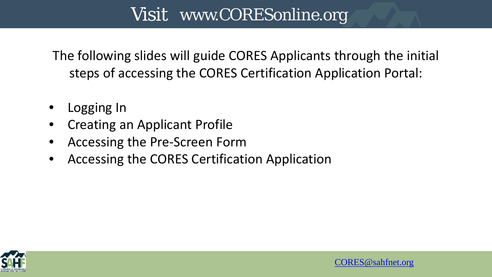The following slides will guide CORES Applicants through the initial steps of accessing the CORES Certification Application Portal:

- Logging In
- Creating an Applicant Profile
- Accessing the Pre-Screen Form
- Accessing the CORES Certification Application



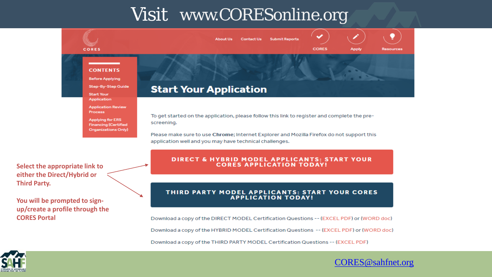



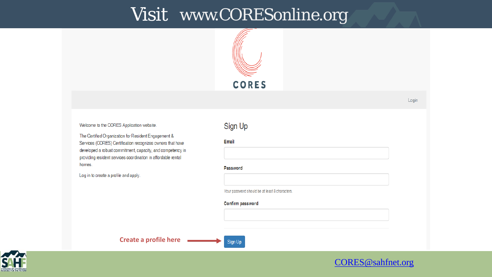

Login

Welcome to the CORES Application website.

The Certified Organization for Resident Engagement & Services (CORES) Certification recognizes owners that have developed a robust commitment, capacity, and competency in providing resident services coordination in affordable rental homes.

Log in to create a profile and apply.

#### Sign Up

Email

Password

Your password should be at least 8 characters.

Confirm password

**Create a profile here** 



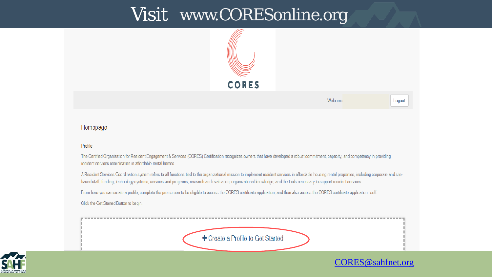

#### Homepage

#### Profile

The Certified Organization for Resident Engagement & Services (CORES) Certification recognizes owners that have developed a robust commitment, capacity, and competency in providing resident services coordination in affordable rental homes.

A Resident Services Coordination system refers to all functions tied to the organizational mission to implement resident services in affordable housing rental properties, including corporate and sitebased staff, funding, technology systems, services and programs, research and evaluation, organizational knowledge, and the tools necessary to support resident services.

From here you can create a profile, complete the pre-screen to be eligible to access the CORES certificate application, and then also access the CORES certificate application itself.

Click the Get Started Button to begin.

+ Create a Profile to Get Started



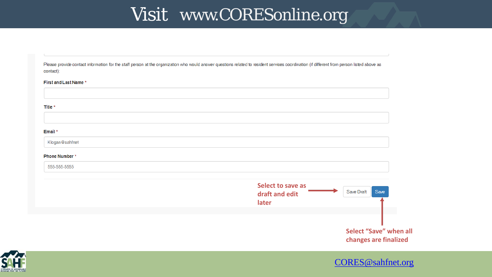Please provide contact information for the staff person at the organization who would answer questions related to resident services coordination (if different from person listed above as contact):

#### First and Last Name\*

#### Title \*

#### Email \*

Klogan@sahfnet

#### Phone Number\*

555-555-5555



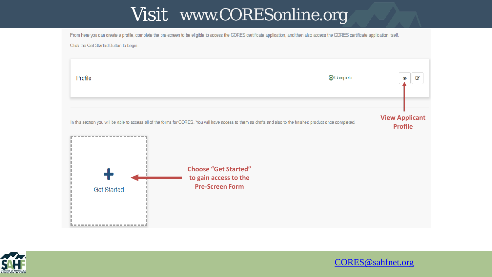From here you can create a profile, complete the pre-screen to be eligible to access the CORES certificate application, and then also access the CORES certificate application itself.

Click the Get Started Button to begin.



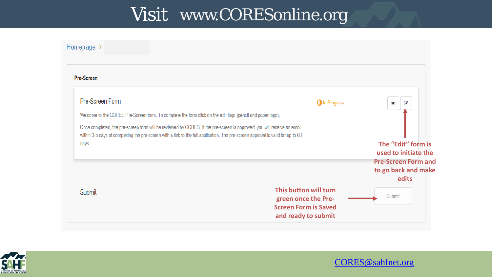



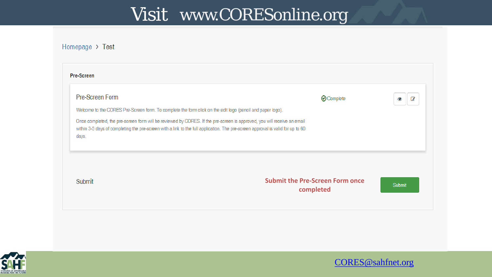#### Homepage > Test

|                                                                                                                                                                                                                                       | <b>Submit the Pre-Screen Form once</b> |            |
|---------------------------------------------------------------------------------------------------------------------------------------------------------------------------------------------------------------------------------------|----------------------------------------|------------|
| within 3-5 days of completing the pre-screen with a link to the full application. The pre-screen approval is valid for up to 60<br>days.                                                                                              |                                        |            |
| Welcome to the CORES Pre-Screen form. To complete the form click on the edit logo (pencil and paper logo).<br>Once completed, the pre-screen form will be reviewed by CORES. If the pre-screen is approved, you will receive an email |                                        |            |
|                                                                                                                                                                                                                                       | <b>⊙</b> Complete                      | $\epsilon$ |



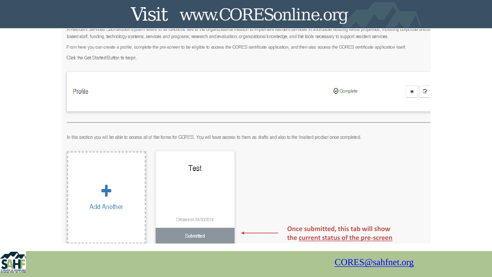A RESIDENT DEFVICES COORDINATION SYSTEM TENERS to all runctions tied to the organizational mission to implement resident services in anordable nousing rental properties, including corporate and si based staff, funding, technology systems, services and programs, research and evaluation, organizational knowledge, and the tools necessary to support resident services.

From here you can create a profile, complete the pre-screen to be eligible to access the CORES certificate application, and then also access the CORES certificate application itself.

Click the Get Started Button to begin.

Profile

| <b>⊙</b> Complete |
|-------------------|
|-------------------|

€

In this section you will be able to access all of the forms for CORES. You will have access to them as drafts and also to the finished product once completed.

|                    | Test                  |                                                                            |
|--------------------|-----------------------|----------------------------------------------------------------------------|
| <b>Add Another</b> |                       |                                                                            |
|                    | Created on 04/30/2018 |                                                                            |
|                    | Submitted             | Once submitted, this tab will show<br>the current status of the pre-screen |

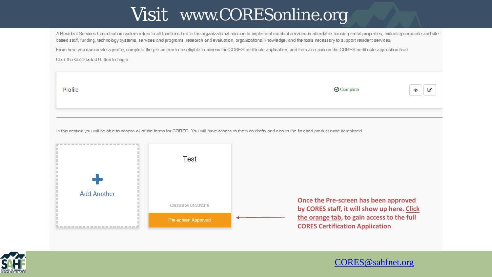A Resident Services Coordination system refers to all functions tied to the organizational mission to implement resident services in affordable housing rental properties, including corporate and sitebased staff, funding, technology systems, services and programs, research and evaluation, organizational knowledge, and the tools necessary to support resident services.

From here you can create a profile, complete the pre-screen to be eligible to access the CORES certificate application, and then also access the CORES certificate application itself.

Click the Get Started Button to begin.

| (v) Complete |  |
|--------------|--|
|              |  |

 $\overline{a}$ 

⊙

~-

In this section you will be able to access all of the forms for CORES. You will have access to them as drafts and also to the finished product once completed.



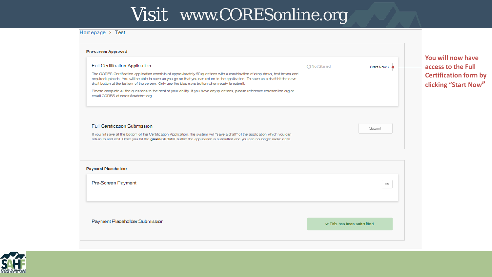#### Homepage > Test

| <b>Full Certification Application</b>                                                                                                                                                                                                                                                                                                                          | ◯ Not Started | Start Now > <               | You will now have<br>access to the Full                     |
|----------------------------------------------------------------------------------------------------------------------------------------------------------------------------------------------------------------------------------------------------------------------------------------------------------------------------------------------------------------|---------------|-----------------------------|-------------------------------------------------------------|
| The CORES Certification application consists of approximately 50 questions with a combination of drop-down, text boxes and<br>required uploads. You will be able to save as you go so that you can return to the application. To save as a draft hit the save<br>draft button at the bottom of the screen. Only use the blue save button when ready to submit. |               |                             | <b>Certification form by</b><br><b>clicking "Start Now"</b> |
| Please complete all the questions to the best of your ability. If you have any questions, please reference coresonline.org or<br>email CORES at cores@sahfnet.org.                                                                                                                                                                                             |               |                             |                                                             |
| <b>Full Certification Submission</b>                                                                                                                                                                                                                                                                                                                           |               | Submit                      |                                                             |
| If you hit save at the bottom of the Certification Application, the system will "save a draft" of the application which you can<br>return to and edit. Once you hit the green SUBMIT button the applicaiton is submitted and you can no longer make edits.                                                                                                     |               |                             |                                                             |
| <b>Payment Placeholder</b>                                                                                                                                                                                                                                                                                                                                     |               |                             |                                                             |
| Pre-Screen Payment                                                                                                                                                                                                                                                                                                                                             |               | $_{\textcircled{\tiny{R}}}$ |                                                             |
|                                                                                                                                                                                                                                                                                                                                                                |               |                             |                                                             |
|                                                                                                                                                                                                                                                                                                                                                                |               |                             |                                                             |

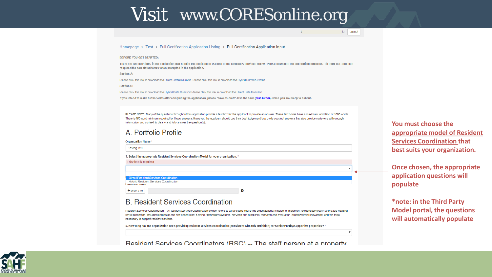u Logout

 $V$ 

#### Homepage > Test > Full Certification Application Listing > Full Certification Application Input

#### BEFORE YOU GET STARTED:

There are two questions in the application that require the applicant to use one of the templates provided below. Please download the appropriate templates, fill them out, and then reupload the completed forms when prompted in the application.

Section A:

Please click this link to download the Direct Portfolio Profile Please click this link to download the Hybrid Portfolio Profile

Section C:

Please click this link to download the Hybrid Data Question Please click this link to download the Direct Data Question

If you intend to make further edits after completing the application, please "save as draft". Use the save (blue button) when you are ready to submit.

PLEASE NOTE: Many of the questions throughout this application provide a text box for the applicant to provide an answer. These text boxes have a maximum word limit of 1000 words There is NO word minimum required for these answers. However, the applicant should use their best judgement to provide succinct answers that also provide reviewers with enough information and context to clearly and fully answer the question(s).

#### A. Portfolio Profile

|  |  | in n | NЯ |  |
|--|--|------|----|--|
|  |  |      |    |  |

Testing 123

the contract of the contract of the con-

1. Select the appropriate Resident Services Coordination Model for your organization.<sup>4</sup>

| THIS HEIGHS required                         |   |
|----------------------------------------------|---|
|                                              |   |
|                                              |   |
| <b>Direct Resident Services Coordination</b> |   |
| Hybrid Resident Services Coordination        |   |
| VILIVIIV I IVIIIV                            |   |
| + Select a file                              | 0 |

#### **B. Resident Services Coordination**

Resident Services Coordination -- A Resident Services Coordination system refers to all functions tied to the organizational mission to implement resident services in affordable housing rental properties, including corporate and site-based staff, funding, technology systems, services and programs, research and evaluation, organizational knowledge, and the tools necessary to support resident services.

2. How long has the organization been providing resident services coordination (consistent with this definition) for Senior/Family/Supportive properties? \*

Resident Services Coordinators (RSC) -- The staff person at a property

You must choose the appropriate model of Resident **Services Coordination that** best suits your organization.

Once chosen, the appropriate application questions will populate

\*note: in the Third Party **Model portal, the questions** will automatically populate